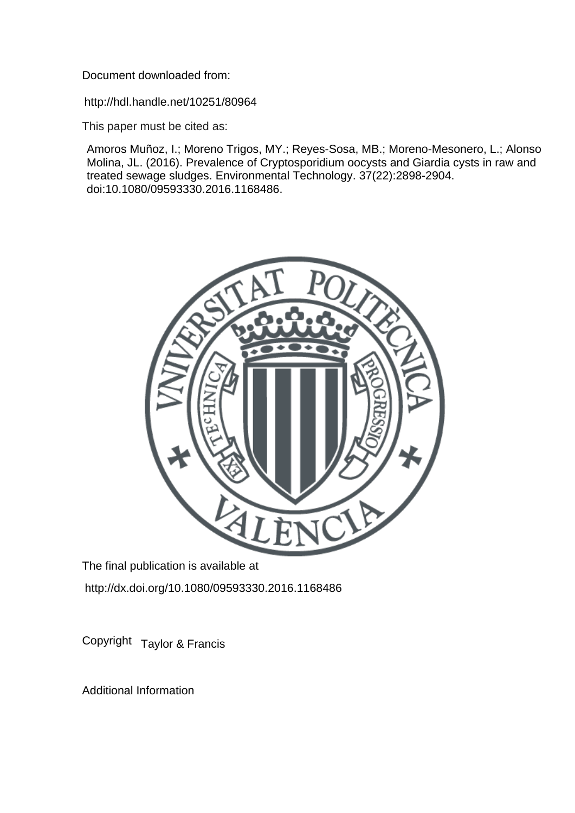Document downloaded from:

http://hdl.handle.net/10251/80964

This paper must be cited as:

Amoros Muñoz, I.; Moreno Trigos, MY.; Reyes-Sosa, MB.; Moreno-Mesonero, L.; Alonso Molina, JL. (2016). Prevalence of Cryptosporidium oocysts and Giardia cysts in raw and treated sewage sludges. Environmental Technology. 37(22):2898-2904. doi:10.1080/09593330.2016.1168486.



The final publication is available at http://dx.doi.org/10.1080/09593330.2016.1168486

Copyright Taylor & Francis

Additional Information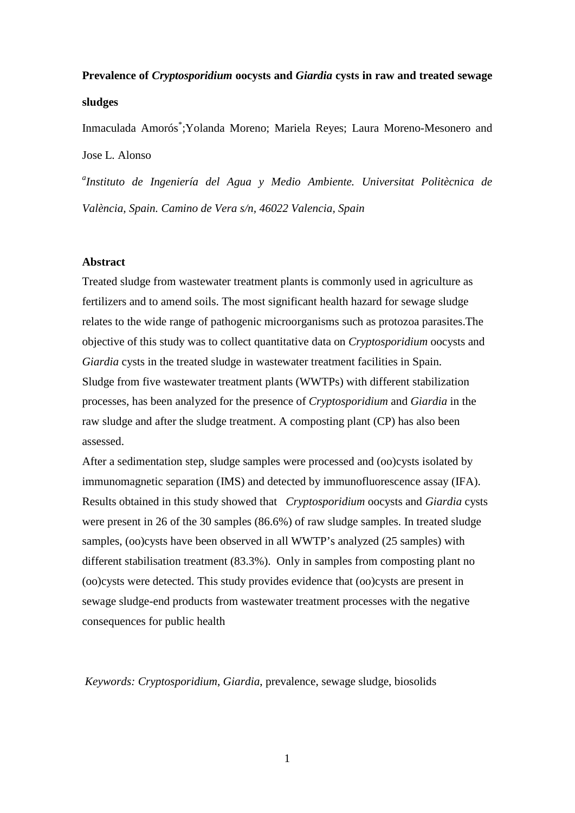# **Prevalence of** *Cryptosporidium* **oocysts and** *Giardia* **cysts in raw and treated sewage sludges**

Inmaculada Amorós\* ;Yolanda Moreno; Mariela Reyes; Laura Moreno-Mesonero and Jose L. Alonso

*a Instituto de Ingeniería del Agua y Medio Ambiente. Universitat Politècnica de València, Spain. Camino de Vera s/n, 46022 Valencia, Spain* 

## **Abstract**

Treated sludge from wastewater treatment plants is commonly used in agriculture as fertilizers and to amend soils. The most significant health hazard for sewage sludge relates to the wide range of pathogenic microorganisms such as protozoa parasites.The objective of this study was to collect quantitative data on *Cryptosporidium* oocysts and *Giardia* cysts in the treated sludge in wastewater treatment facilities in Spain. Sludge from five wastewater treatment plants (WWTPs) with different stabilization processes, has been analyzed for the presence of *Cryptosporidium* and *Giardia* in the raw sludge and after the sludge treatment. A composting plant (CP) has also been assessed.

After a sedimentation step, sludge samples were processed and (oo)cysts isolated by immunomagnetic separation (IMS) and detected by immunofluorescence assay (IFA). Results obtained in this study showed that *Cryptosporidium* oocysts and *Giardia* cysts were present in 26 of the 30 samples (86.6%) of raw sludge samples. In treated sludge samples, (oo)cysts have been observed in all WWTP's analyzed (25 samples) with different stabilisation treatment (83.3%). Only in samples from composting plant no (oo)cysts were detected. This study provides evidence that (oo)cysts are present in sewage sludge-end products from wastewater treatment processes with the negative consequences for public health

*Keywords: Cryptosporidium*, *Giardia*, prevalence, sewage sludge, biosolids

1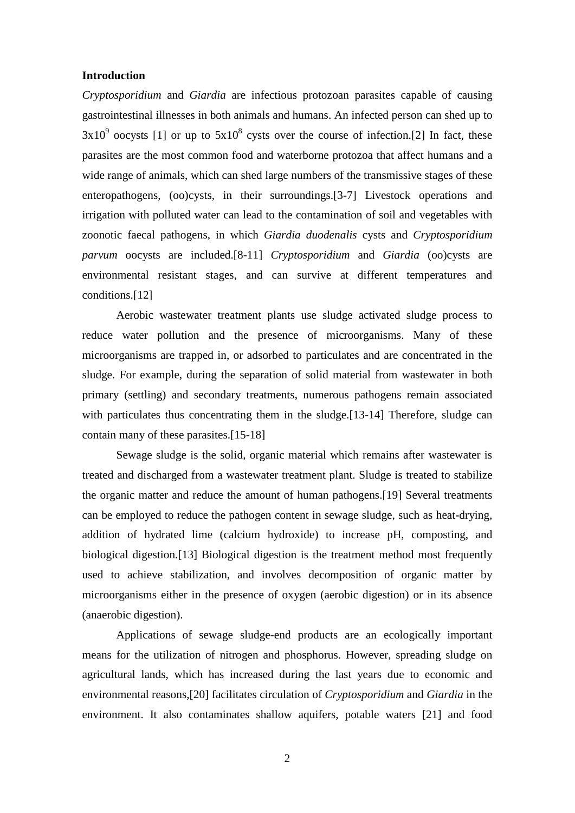## **Introduction**

*Cryptosporidium* and *Giardia* are infectious protozoan parasites capable of causing gastrointestinal illnesses in both animals and humans. An infected person can shed up to  $3x10^9$  oocysts [1] or up to  $5x10^8$  cysts over the course of infection.[2] In fact, these parasites are the most common food and waterborne protozoa that affect humans and a wide range of animals, which can shed large numbers of the transmissive stages of these enteropathogens, (oo)cysts, in their surroundings.[3-7] Livestock operations and irrigation with polluted water can lead to the contamination of soil and vegetables with zoonotic faecal pathogens, in which *Giardia duodenalis* cysts and *Cryptosporidium parvum* oocysts are included.[8-11] *Cryptosporidium* and *Giardia* (oo)cysts are environmental resistant stages, and can survive at different temperatures and conditions.[12]

Aerobic wastewater treatment plants use sludge activated sludge process to reduce water pollution and the presence of microorganisms. Many of these microorganisms are trapped in, or adsorbed to particulates and are concentrated in the sludge. For example, during the separation of solid material from wastewater in both primary (settling) and secondary treatments, numerous pathogens remain associated with particulates thus concentrating them in the sludge.[13-14] Therefore, sludge can contain many of these parasites.[15-18]

Sewage sludge is the solid, organic material which remains after wastewater is treated and discharged from a wastewater treatment plant. Sludge is treated to stabilize the organic matter and reduce the amount of human pathogens.[19] Several treatments can be employed to reduce the pathogen content in sewage sludge, such as heat-drying, addition of hydrated lime (calcium hydroxide) to increase pH, composting, and biological digestion.[13] Biological digestion is the treatment method most frequently used to achieve stabilization, and involves decomposition of organic matter by microorganisms either in the presence of oxygen (aerobic digestion) or in its absence (anaerobic digestion).

Applications of sewage sludge-end products are an ecologically important means for the utilization of nitrogen and phosphorus. However, spreading sludge on agricultural lands, which has increased during the last years due to economic and environmental reasons,[20] facilitates circulation of *Cryptosporidium* and *Giardia* in the environment. It also contaminates shallow aquifers, potable waters [21] and food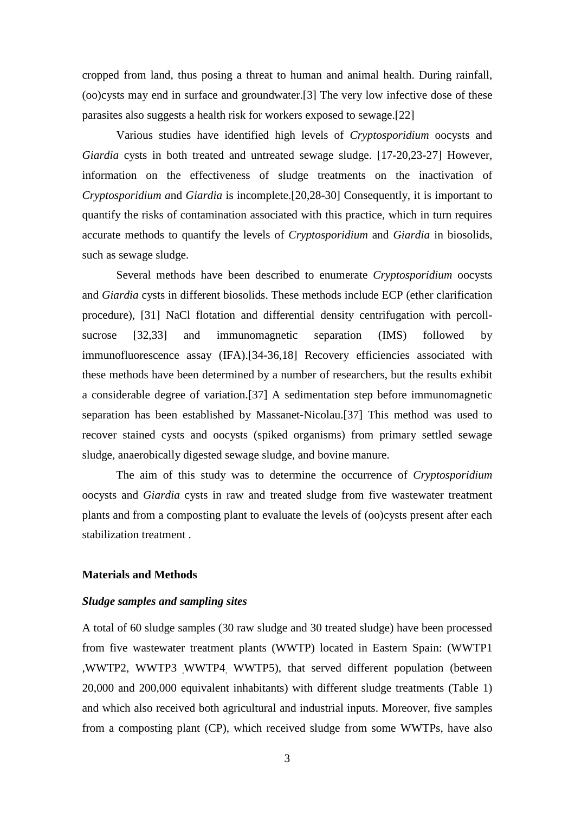cropped from land, thus posing a threat to human and animal health. During rainfall, (oo)cysts may end in surface and groundwater.[3] The very low infective dose of these parasites also suggests a health risk for workers exposed to sewage.[22]

Various studies have identified high levels of *Cryptosporidium* oocysts and *Giardia* cysts in both treated and untreated sewage sludge. [17-20,23-27] However, information on the effectiveness of sludge treatments on the inactivation of *Cryptosporidium a*nd *Giardia* is incomplete.[20,28-30] Consequently, it is important to quantify the risks of contamination associated with this practice, which in turn requires accurate methods to quantify the levels of *Cryptosporidium* and *Giardia* in biosolids, such as sewage sludge.

Several methods have been described to enumerate *Cryptosporidium* oocysts and *Giardia* cysts in different biosolids. These methods include ECP (ether clarification procedure), [31] NaCl flotation and differential density centrifugation with percollsucrose [32,33] and immunomagnetic separation (IMS) followed by immunofluorescence assay (IFA).[34-36,18] Recovery efficiencies associated with these methods have been determined by a number of researchers, but the results exhibit a considerable degree of variation.[37] A sedimentation step before immunomagnetic separation has been established by Massanet-Nicolau.[37] This method was used to recover stained cysts and oocysts (spiked organisms) from primary settled sewage sludge, anaerobically digested sewage sludge, and bovine manure.

The aim of this study was to determine the occurrence of *Cryptosporidium* oocysts and *Giardia* cysts in raw and treated sludge from five wastewater treatment plants and from a composting plant to evaluate the levels of (oo)cysts present after each stabilization treatment .

## **Materials and Methods**

## *Sludge samples and sampling sites*

A total of 60 sludge samples (30 raw sludge and 30 treated sludge) have been processed from five wastewater treatment plants (WWTP) located in Eastern Spain: (WWTP1 ,WWTP2, WWTP3 WWTP4 WWTP5), that served different population (between 20,000 and 200,000 equivalent inhabitants) with different sludge treatments (Table 1) and which also received both agricultural and industrial inputs. Moreover, five samples from a composting plant (CP), which received sludge from some WWTPs, have also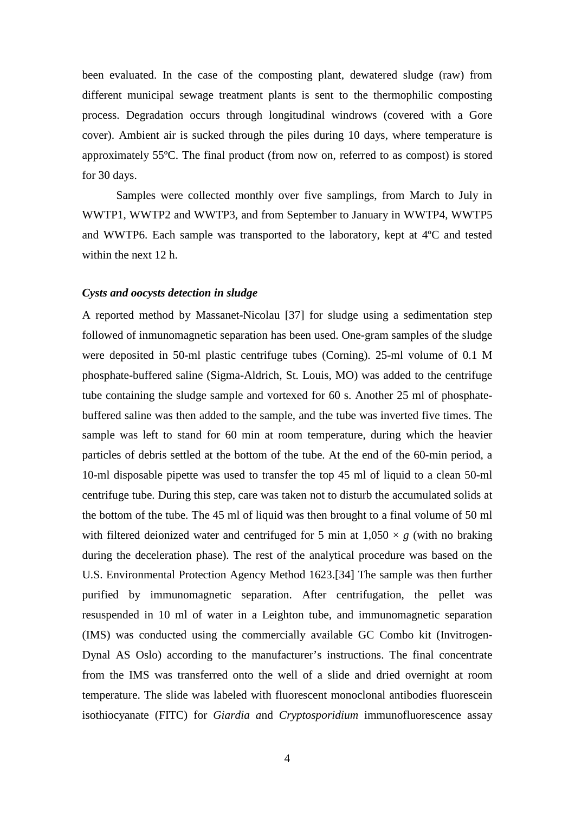been evaluated. In the case of the composting plant, dewatered sludge (raw) from different municipal sewage treatment plants is sent to the thermophilic composting process. Degradation occurs through longitudinal windrows (covered with a Gore cover). Ambient air is sucked through the piles during 10 days, where temperature is approximately 55ºC. The final product (from now on, referred to as compost) is stored for 30 days.

Samples were collected monthly over five samplings, from March to July in WWTP1, WWTP2 and WWTP3, and from September to January in WWTP4, WWTP5 and WWTP6. Each sample was transported to the laboratory, kept at 4ºC and tested within the next 12 h.

# *Cysts and oocysts detection in sludge*

A reported method by Massanet-Nicolau [37] for sludge using a sedimentation step followed of inmunomagnetic separation has been used. One-gram samples of the sludge were deposited in 50-ml plastic centrifuge tubes (Corning). 25-ml volume of 0.1 M phosphate-buffered saline (Sigma-Aldrich, St. Louis, MO) was added to the centrifuge tube containing the sludge sample and vortexed for 60 s. Another 25 ml of phosphatebuffered saline was then added to the sample, and the tube was inverted five times. The sample was left to stand for 60 min at room temperature, during which the heavier particles of debris settled at the bottom of the tube. At the end of the 60-min period, a 10-ml disposable pipette was used to transfer the top 45 ml of liquid to a clean 50-ml centrifuge tube. During this step, care was taken not to disturb the accumulated solids at the bottom of the tube. The 45 ml of liquid was then brought to a final volume of 50 ml with filtered deionized water and centrifuged for 5 min at  $1,050 \times g$  (with no braking during the deceleration phase). The rest of the analytical procedure was based on the U.S. Environmental Protection Agency Method 1623.[34] The sample was then further purified by immunomagnetic separation. After centrifugation, the pellet was resuspended in 10 ml of water in a Leighton tube, and immunomagnetic separation (IMS) was conducted using the commercially available GC Combo kit (Invitrogen-Dynal AS Oslo) according to the manufacturer's instructions. The final concentrate from the IMS was transferred onto the well of a slide and dried overnight at room temperature. The slide was labeled with fluorescent monoclonal antibodies fluorescein isothiocyanate (FITC) for *Giardia a*nd *Cryptosporidium* immunofluorescence assay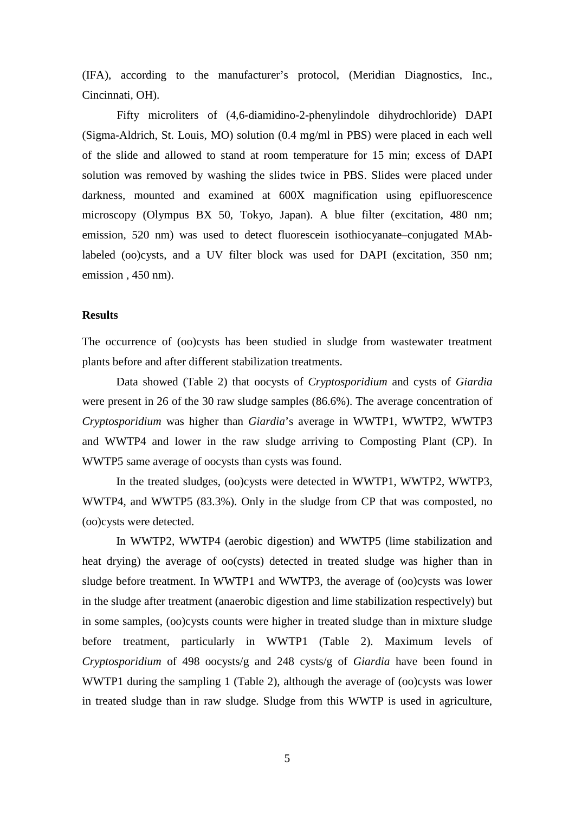(IFA), according to the manufacturer's protocol, (Meridian Diagnostics, Inc., Cincinnati, OH).

Fifty microliters of (4,6-diamidino-2-phenylindole dihydrochloride) DAPI (Sigma-Aldrich, St. Louis, MO) solution (0.4 mg/ml in PBS) were placed in each well of the slide and allowed to stand at room temperature for 15 min; excess of DAPI solution was removed by washing the slides twice in PBS. Slides were placed under darkness, mounted and examined at 600X magnification using epifluorescence microscopy (Olympus BX 50, Tokyo, Japan). A blue filter (excitation, 480 nm; emission, 520 nm) was used to detect fluorescein isothiocyanate–conjugated MAblabeled (oo)cysts, and a UV filter block was used for DAPI (excitation, 350 nm; emission , 450 nm).

# **Results**

The occurrence of (oo)cysts has been studied in sludge from wastewater treatment plants before and after different stabilization treatments.

Data showed (Table 2) that oocysts of *Cryptosporidium* and cysts of *Giardia* were present in 26 of the 30 raw sludge samples (86.6%). The average concentration of *Cryptosporidium* was higher than *Giardia*'s average in WWTP1, WWTP2, WWTP3 and WWTP4 and lower in the raw sludge arriving to Composting Plant (CP). In WWTP5 same average of oocysts than cysts was found.

In the treated sludges, (oo)cysts were detected in WWTP1, WWTP2, WWTP3, WWTP4, and WWTP5 (83.3%). Only in the sludge from CP that was composted, no (oo)cysts were detected.

In WWTP2, WWTP4 (aerobic digestion) and WWTP5 (lime stabilization and heat drying) the average of oo(cysts) detected in treated sludge was higher than in sludge before treatment. In WWTP1 and WWTP3, the average of (oo)cysts was lower in the sludge after treatment (anaerobic digestion and lime stabilization respectively) but in some samples, (oo)cysts counts were higher in treated sludge than in mixture sludge before treatment, particularly in WWTP1 (Table 2). Maximum levels of *Cryptosporidium* of 498 oocysts/g and 248 cysts/g of *Giardia* have been found in WWTP1 during the sampling 1 (Table 2), although the average of (oo)cysts was lower in treated sludge than in raw sludge. Sludge from this WWTP is used in agriculture,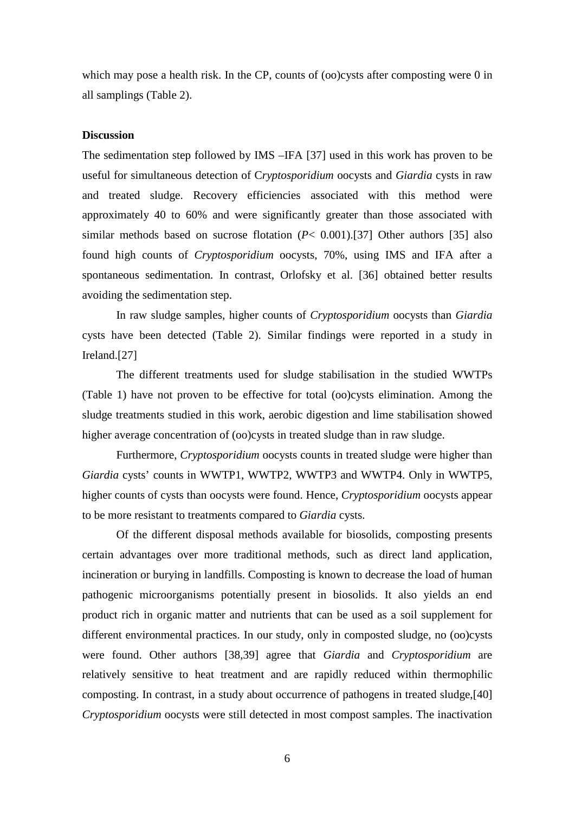which may pose a health risk. In the CP, counts of (oo)cysts after composting were 0 in all samplings (Table 2).

## **Discussion**

The sedimentation step followed by IMS –IFA [37] used in this work has proven to be useful for simultaneous detection of C*ryptosporidium* oocysts and *Giardia* cysts in raw and treated sludge. Recovery efficiencies associated with this method were approximately 40 to 60% and were significantly greater than those associated with similar methods based on sucrose flotation (*P*< 0.001).[37] Other authors [35] also found high counts of *Cryptosporidium* oocysts, 70%, using IMS and IFA after a spontaneous sedimentation. In contrast, Orlofsky et al. [36] obtained better results avoiding the sedimentation step.

In raw sludge samples, higher counts of *Cryptosporidium* oocysts than *Giardia* cysts have been detected (Table 2). Similar findings were reported in a study in Ireland.[27]

The different treatments used for sludge stabilisation in the studied WWTPs (Table 1) have not proven to be effective for total (oo)cysts elimination. Among the sludge treatments studied in this work, aerobic digestion and lime stabilisation showed higher average concentration of (oo)cysts in treated sludge than in raw sludge.

Furthermore, *Cryptosporidium* oocysts counts in treated sludge were higher than *Giardia* cysts' counts in WWTP1, WWTP2, WWTP3 and WWTP4. Only in WWTP5, higher counts of cysts than oocysts were found. Hence, *Cryptosporidium* oocysts appear to be more resistant to treatments compared to *Giardia* cysts.

Of the different disposal methods available for biosolids, composting presents certain advantages over more traditional methods, such as direct land application, incineration or burying in landfills. Composting is known to decrease the load of human pathogenic microorganisms potentially present in biosolids. It also yields an end product rich in organic matter and nutrients that can be used as a soil supplement for different environmental practices. In our study, only in composted sludge, no (oo)cysts were found. Other authors [38,39] agree that *Giardia* and *Cryptosporidium* are relatively sensitive to heat treatment and are rapidly reduced within thermophilic composting. In contrast, in a study about occurrence of pathogens in treated sludge,[40] *Cryptosporidium* oocysts were still detected in most compost samples. The inactivation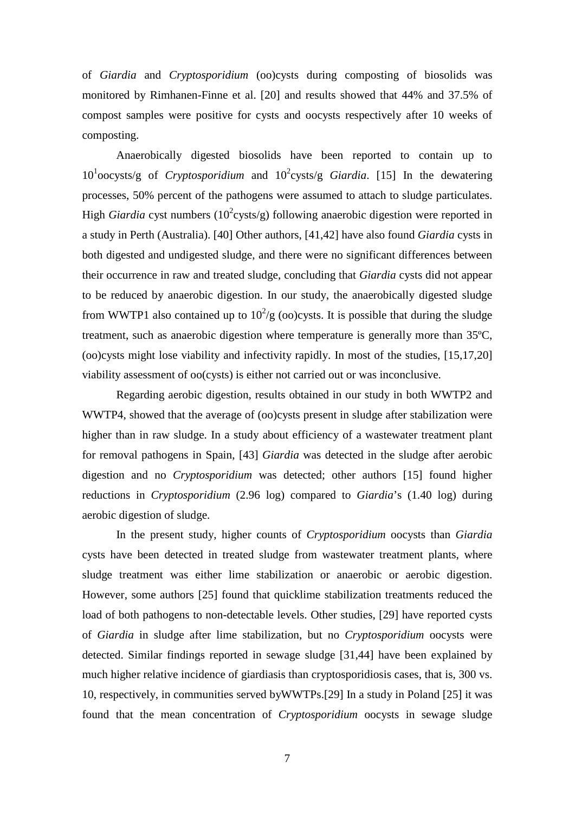of *Giardia* and *Cryptosporidium* (oo)cysts during composting of biosolids was monitored by Rimhanen-Finne et al. [20] and results showed that 44% and 37.5% of compost samples were positive for cysts and oocysts respectively after 10 weeks of composting.

Anaerobically digested biosolids have been reported to contain up to 10<sup>1</sup> oocysts/g of *Cryptosporidium* and 10<sup>2</sup> cysts/g *Giardia*. [15] In the dewatering processes, 50% percent of the pathogens were assumed to attach to sludge particulates. High *Giardia* cyst numbers (10<sup>2</sup>cysts/g) following anaerobic digestion were reported in a study in Perth (Australia). [40] Other authors, [41,42] have also found *Giardia* cysts in both digested and undigested sludge, and there were no significant differences between their occurrence in raw and treated sludge, concluding that *Giardia* cysts did not appear to be reduced by anaerobic digestion. In our study, the anaerobically digested sludge from WWTP1 also contained up to  $10^2/g$  (oo)cysts. It is possible that during the sludge treatment, such as anaerobic digestion where temperature is generally more than 35ºC, (oo)cysts might lose viability and infectivity rapidly. In most of the studies, [15,17,20] viability assessment of oo(cysts) is either not carried out or was inconclusive.

Regarding aerobic digestion, results obtained in our study in both WWTP2 and WWTP4, showed that the average of (oo)cysts present in sludge after stabilization were higher than in raw sludge. In a study about efficiency of a wastewater treatment plant for removal pathogens in Spain, [43] *Giardia* was detected in the sludge after aerobic digestion and no *Cryptosporidium* was detected; other authors [15] found higher reductions in *Cryptosporidium* (2.96 log) compared to *Giardia*'s (1.40 log) during aerobic digestion of sludge.

In the present study, higher counts of *Cryptosporidium* oocysts than *Giardia*  cysts have been detected in treated sludge from wastewater treatment plants, where sludge treatment was either lime stabilization or anaerobic or aerobic digestion. However, some authors [25] found that quicklime stabilization treatments reduced the load of both pathogens to non-detectable levels. Other studies, [29] have reported cysts of *Giardia* in sludge after lime stabilization, but no *Cryptosporidium* oocysts were detected. Similar findings reported in sewage sludge [31,44] have been explained by much higher relative incidence of giardiasis than cryptosporidiosis cases, that is, 300 vs. 10, respectively, in communities served byWWTPs.[29] In a study in Poland [25] it was found that the mean concentration of *Cryptosporidium* oocysts in sewage sludge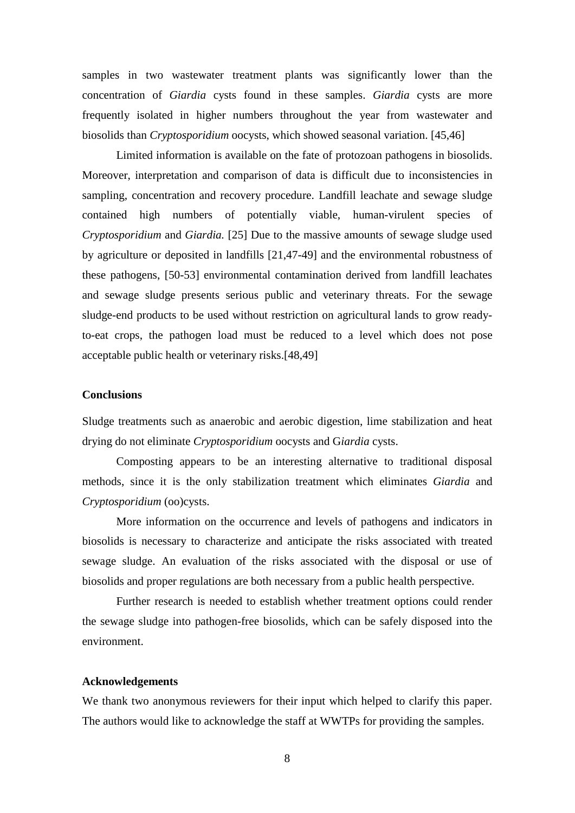samples in two wastewater treatment plants was significantly lower than the concentration of *Giardia* cysts found in these samples. *Giardia* cysts are more frequently isolated in higher numbers throughout the year from wastewater and biosolids than *Cryptosporidium* oocysts, which showed seasonal variation. [45,46]

Limited information is available on the fate of protozoan pathogens in biosolids. Moreover, interpretation and comparison of data is difficult due to inconsistencies in sampling, concentration and recovery procedure. Landfill leachate and sewage sludge contained high numbers of potentially viable, human-virulent species of *Cryptosporidium* and *Giardia.* [25] Due to the massive amounts of sewage sludge used by agriculture or deposited in landfills [21,47-49] and the environmental robustness of these pathogens, [50-53] environmental contamination derived from landfill leachates and sewage sludge presents serious public and veterinary threats. For the sewage sludge-end products to be used without restriction on agricultural lands to grow readyto-eat crops, the pathogen load must be reduced to a level which does not pose acceptable public health or veterinary risks.[48,49]

# **Conclusions**

Sludge treatments such as anaerobic and aerobic digestion, lime stabilization and heat drying do not eliminate *Cryptosporidium* oocysts and G*iardia* cysts.

Composting appears to be an interesting alternative to traditional disposal methods, since it is the only stabilization treatment which eliminates *Giardia* and *Cryptosporidium* (oo)cysts.

More information on the occurrence and levels of pathogens and indicators in biosolids is necessary to characterize and anticipate the risks associated with treated sewage sludge. An evaluation of the risks associated with the disposal or use of biosolids and proper regulations are both necessary from a public health perspective.

Further research is needed to establish whether treatment options could render the sewage sludge into pathogen-free biosolids, which can be safely disposed into the environment.

## **Acknowledgements**

We thank two anonymous reviewers for their input which helped to clarify this paper. The authors would like to acknowledge the staff at WWTPs for providing the samples.

8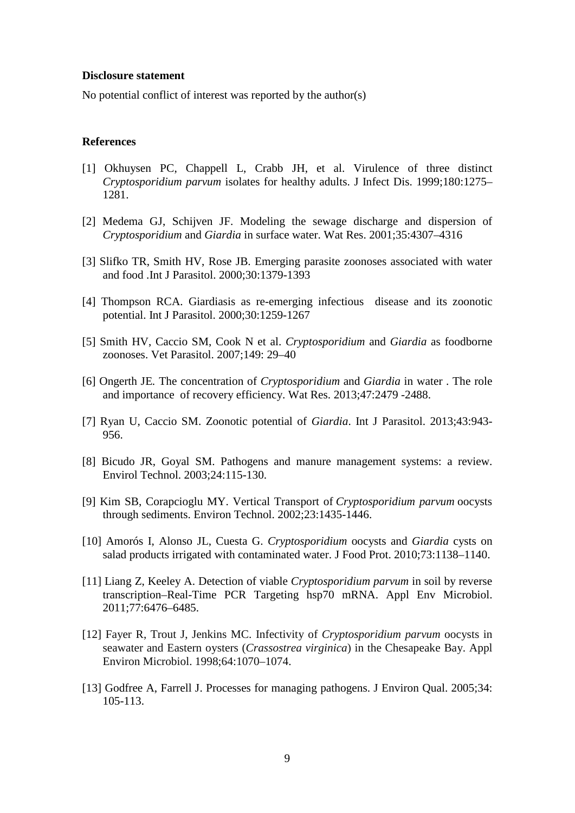#### **Disclosure statement**

No potential conflict of interest was reported by the author(s)

# **References**

- [1] Okhuysen PC, Chappell L, Crabb JH, et al. Virulence of three distinct *Cryptosporidium parvum* isolates for healthy adults. J Infect Dis. 1999;180:1275– 1281.
- [2] Medema GJ, Schijven JF. Modeling the sewage discharge and dispersion of *Cryptosporidium* and *Giardia* in surface water. Wat Res. 2001;35:4307–4316
- [3] Slifko TR, Smith HV, Rose JB. Emerging parasite zoonoses associated with water and food .Int J Parasitol. 2000;30:1379-1393
- [4] Thompson RCA. Giardiasis as re-emerging infectious disease and its zoonotic potential. Int J Parasitol. 2000;30:1259-1267
- [5] Smith HV, Caccio SM, Cook N et al. *Cryptosporidium* and *Giardia* as foodborne zoonoses. Vet Parasitol. 2007;149: 29–40
- [6] Ongerth JE*.* The concentration of *Cryptosporidium* and *Giardia* in water . The role and importance of recovery efficiency. Wat Res. 2013;47:2479 -2488.
- [7] Ryan U, Caccio SM. Zoonotic potential of *Giardia*. Int J Parasitol. 2013;43:943- 956.
- [8] Bicudo JR, Goyal SM. Pathogens and manure management systems: a review. Envirol Technol. 2003;24:115-130.
- [9] Kim SB, [Corapcioglu](http://www.tandfonline.com/author/Corapcioglu%2C+M+Y) MY. Vertical Transport of *Cryptosporidium parvum* oocysts through sediments. Environ Technol. 2002[;23:](http://www.tandfonline.com/loi/tent20?open=23#vol_23)1435-1446.
- [10] Amorós I, Alonso JL, Cuesta G. *Cryptosporidium* oocysts and *Giardia* cysts on salad products irrigated with contaminated water. J Food Prot. 2010;73:1138–1140.
- [11] Liang Z, Keeley A. Detection of viable *Cryptosporidium parvum* in soil by reverse transcription–Real-Time PCR Targeting hsp70 mRNA. Appl Env Microbiol. 2011;77:6476–6485.
- [12] Fayer R, Trout J, Jenkins MC. Infectivity of *Cryptosporidium parvum* oocysts in seawater and Eastern oysters (*Crassostrea virginica*) in the Chesapeake Bay. Appl Environ Microbiol. 1998;64:1070–1074.
- [13] Godfree A, Farrell J. Processes for managing pathogens. J Environ Qual. 2005;34: 105-113.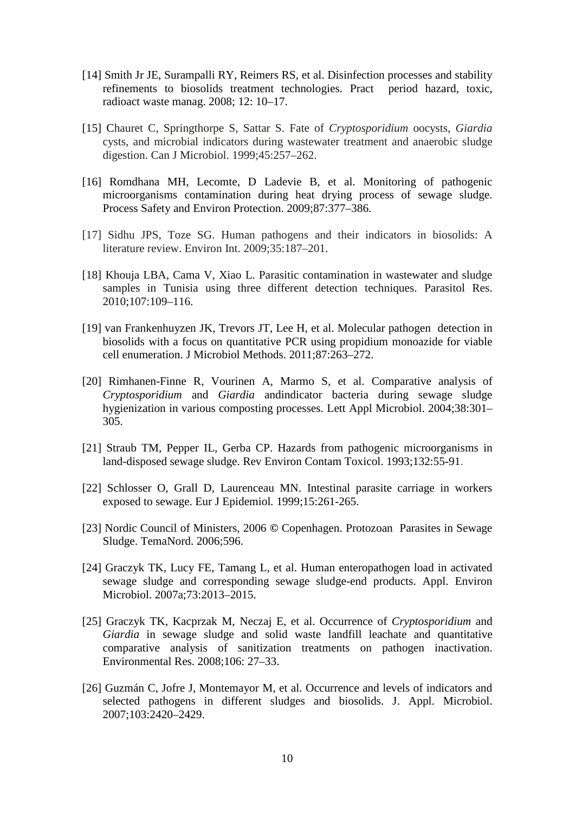- [14] Smith Jr JE, Surampalli RY, Reimers RS, et al. Disinfection processes and stability refinements to biosolids treatment technologies. Pract period hazard, toxic, radioact waste manag. 2008; 12: 10–17.
- [15] Chauret C, Springthorpe S, Sattar S. Fate of *Cryptosporidium* oocysts, *Giardia*  cysts, and microbial indicators during wastewater treatment and anaerobic sludge digestion. Can J Microbiol. 1999;45:257–262.
- [16] Romdhana MH, Lecomte, D Ladevie B, et al. Monitoring of pathogenic microorganisms contamination during heat drying process of sewage sludge. Process Safety and Environ Protection. 2009;87:377–386.
- [17] Sidhu JPS, Toze SG. Human pathogens and their indicators in biosolids: A literature review. Environ Int. 2009;35:187–201.
- [18] Khouja LBA, Cama V, Xiao L. Parasitic contamination in wastewater and sludge samples in Tunisia using three different detection techniques. Parasitol Res. 2010;107:109–116.
- [19] van Frankenhuyzen JK, Trevors JT, Lee H, et al. Molecular pathogen detection in biosolids with a focus on quantitative PCR using propidium monoazide for viable cell enumeration. J Microbiol Methods. 2011;87:263–272.
- [20] Rimhanen-Finne R, Vourinen A, Marmo S, et al. Comparative analysis of *Cryptosporidium* and *Giardia* andindicator bacteria during sewage sludge hygienization in various composting processes. Lett Appl Microbiol. 2004;38:301– 305.
- [21] Straub TM, Pepper IL, Gerba CP. Hazards from pathogenic microorganisms in land-disposed sewage sludge. Rev Environ Contam Toxicol. 1993;132:55-91.
- [22] Schlosser O, Grall D, Laurenceau MN. Intestinal parasite carriage in workers exposed to sewage. Eur J Epidemiol*.* 1999;15:261-265.
- [23] Nordic Council of Ministers, 2006 **©** Copenhagen. Protozoan Parasites in Sewage Sludge. TemaNord. 2006;596.
- [24] Graczyk TK, Lucy FE, Tamang L, et al. Human enteropathogen load in activated sewage sludge and corresponding sewage sludge-end products. Appl. Environ Microbiol. 2007a;73:2013–2015.
- [25] Graczyk TK, Kacprzak M, Neczaj E, et al. Occurrence of *Cryptosporidium* and *Giardia* in sewage sludge and solid waste landfill leachate and quantitative comparative analysis of sanitization treatments on pathogen inactivation. Environmental Res. 2008;106: 27–33.
- [26] Guzmán C, Jofre J, Montemayor M, et al. Occurrence and levels of indicators and selected pathogens in different sludges and biosolids. J. Appl. Microbiol. 2007;103:2420–2429.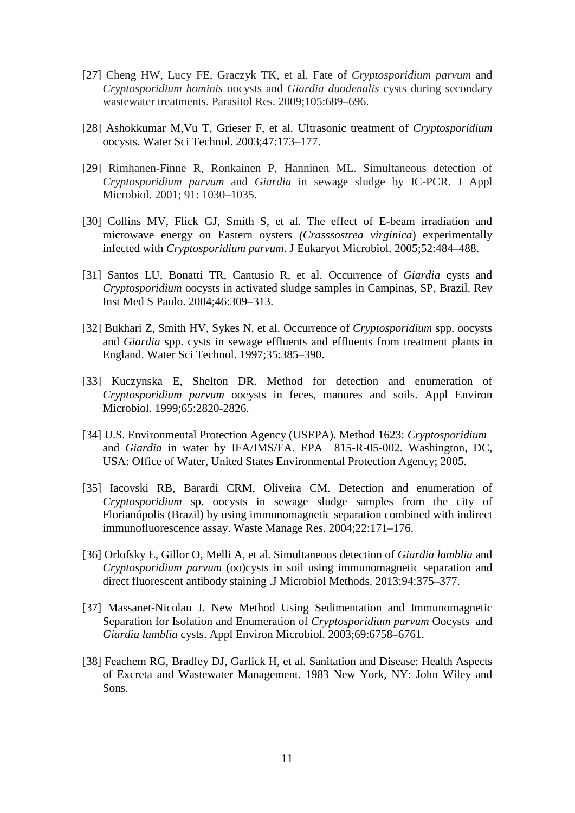- [27] Cheng HW, Lucy FE, Graczyk TK, et al. Fate of *Cryptosporidium parvum* and *Cryptosporidium hominis* oocysts and *Giardia duodenalis* cysts during secondary wastewater treatments. Parasitol Res. 2009;105:689–696.
- [28] Ashokkumar M,Vu T, Grieser F, et al. Ultrasonic treatment of *Cryptosporidium* oocysts. Water Sci Technol. 2003;47:173–177.
- [29] Rimhanen-Finne R, Ronkainen P, Hanninen ML. Simultaneous detection of *Cryptosporidium parvum* and *Giardia* in sewage sludge by IC-PCR. J Appl Microbiol. 2001; 91: 1030–1035.
- [30] Collins MV, Flick GJ, Smith S, et al. The effect of E-beam irradiation and microwave energy on Eastern oysters *(Crasssostrea virginica*) experimentally infected with *Cryptosporidium parvum*. J Eukaryot Microbiol. 2005;52:484–488.
- [31] Santos LU, Bonatti TR, Cantusio R, et al. Occurrence of *Giardia* cysts and *Cryptosporidium* oocysts in activated sludge samples in Campinas, SP, Brazil. Rev Inst Med S Paulo. 2004;46:309–313.
- [32] Bukhari Z, Smith HV, Sykes N, et al. Occurrence of *Cryptosporidium* spp. oocysts and *Giardia* spp. cysts in sewage effluents and effluents from treatment plants in England. Water Sci Technol. 1997;35:385–390.
- [33] Kuczynska E, Shelton DR. Method for detection and enumeration of *Cryptosporidium parvum* oocysts in feces, manures and soils. Appl Environ Microbiol. 1999;65:2820-2826.
- [34] U.S. Environmental Protection Agency (USEPA). Method 1623: *Cryptosporidium* and *Giardia* in water by IFA/IMS/FA. EPA 815-R-05-002. Washington, DC, USA: Office of Water, United States Environmental Protection Agency; 2005.
- [35] Iacovski RB, Barardi CRM, Oliveira CM. Detection and enumeration of *Cryptosporidium* sp. oocysts in sewage sludge samples from the city of Florianópolis (Brazil) by using immunomagnetic separation combined with indirect immunofluorescence assay. Waste Manage Res. 2004;22:171–176.
- [36] Orlofsky E, Gillor O, Melli A, et al. Simultaneous detection of *Giardia lamblia* and *Cryptosporidium parvum* (oo)cysts in soil using immunomagnetic separation and direct fluorescent antibody staining .J Microbiol Methods. 2013;94:375–377.
- [37] Massanet-Nicolau J. New Method Using Sedimentation and Immunomagnetic Separation for Isolation and Enumeration of *Cryptosporidium parvum* Oocysts and *Giardia lamblia* cysts. Appl Environ Microbiol. 2003;69:6758–6761.
- [38] Feachem RG, Bradley DJ, Garlick H, et al. Sanitation and Disease: Health Aspects of Excreta and Wastewater Management. 1983 New York, NY: John Wiley and Sons.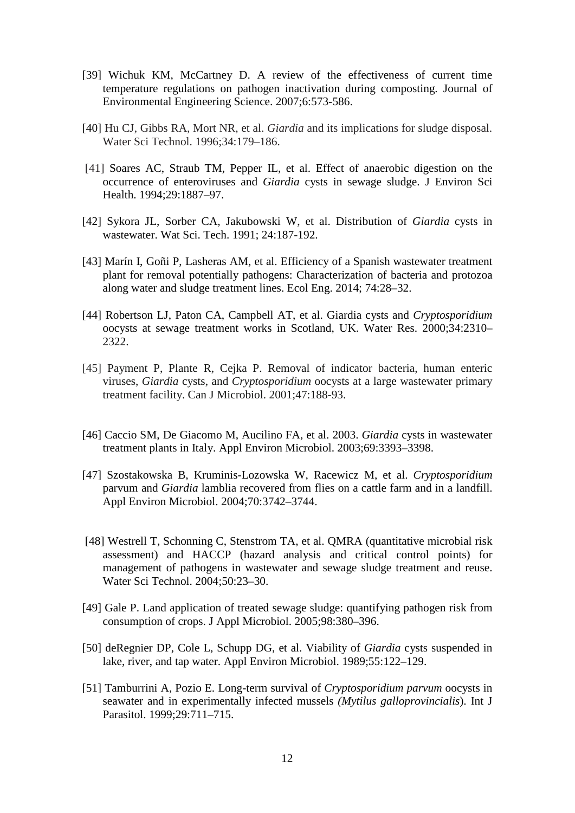- [39] Wichuk KM, McCartney D. A review of the effectiveness of current time temperature regulations on pathogen inactivation during composting. Journal of Environmental Engineering Science. 2007;6:573-586.
- [40] Hu CJ, Gibbs RA, Mort NR, et al. *Giardia* and its implications for sludge disposal. Water Sci Technol. 1996;34:179–186.
- [41] Soares AC, Straub TM, Pepper IL, et al. Effect of anaerobic digestion on the occurrence of enteroviruses and *Giardia* cysts in sewage sludge. J Environ Sci Health. 1994;29:1887–97.
- [42] Sykora JL, Sorber CA, Jakubowski W, et al. Distribution of *Giardia* cysts in wastewater. Wat Sci. Tech. 1991; 24:187-192.
- [43] Marín I, Goñi P, Lasheras AM, et al. Efficiency of a Spanish wastewater treatment plant for removal potentially pathogens: Characterization of bacteria and protozoa along water and sludge treatment lines. Ecol Eng. 2014; 74:28–32.
- [44] Robertson LJ, Paton CA, Campbell AT, et al. Giardia cysts and *Cryptosporidium* oocysts at sewage treatment works in Scotland, UK. Water Res. 2000;34:2310– 2322.
- [45] [Payment P,](http://www.ncbi.nlm.nih.gov/pubmed/?term=Payment%20P%5BAuthor%5D&cauthor=true&cauthor_uid=11315109) [Plante R,](http://www.ncbi.nlm.nih.gov/pubmed/?term=Plante%20R%5BAuthor%5D&cauthor=true&cauthor_uid=11315109) [Cejka P.](http://www.ncbi.nlm.nih.gov/pubmed/?term=Cejka%20P%5BAuthor%5D&cauthor=true&cauthor_uid=11315109) Removal of indicator bacteria, human enteric viruses, *Giardia* cysts, and *Cryptosporidium* oocysts at a large wastewater primary treatment facility. [Can J Microbiol.](http://www.ncbi.nlm.nih.gov/pubmed/11315109) 2001;47:188-93.
- [46] Caccio SM, De Giacomo M, Aucilino FA, et al. 2003. *Giardia* cysts in wastewater treatment plants in Italy. Appl Environ Microbiol. 2003;69:3393–3398.
- [47] Szostakowska B, Kruminis-Lozowska W, Racewicz M, et al. *Cryptosporidium* parvum and *Giardia* lamblia recovered from flies on a cattle farm and in a landfill. Appl Environ Microbiol. 2004;70:3742–3744.
- [48] Westrell T, Schonning C, Stenstrom TA, et al. QMRA (quantitative microbial risk assessment) and HACCP (hazard analysis and critical control points) for management of pathogens in wastewater and sewage sludge treatment and reuse. Water Sci Technol. 2004;50:23–30.
- [49] Gale P. Land application of treated sewage sludge: quantifying pathogen risk from consumption of crops. J Appl Microbiol. 2005;98:380–396.
- [50] deRegnier DP, Cole L, Schupp DG, et al. Viability of *Giardia* cysts suspended in lake, river, and tap water. Appl Environ Microbiol. 1989;55:122–129.
- [51] Tamburrini A, Pozio E. Long-term survival of *Cryptosporidium parvum* oocysts in seawater and in experimentally infected mussels *(Mytilus galloprovincialis*). Int J Parasitol. 1999;29:711–715.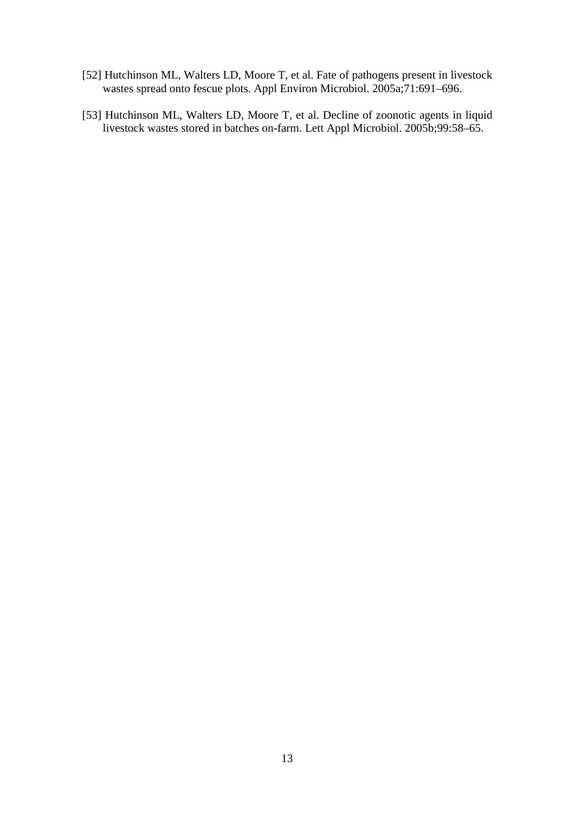- [52] Hutchinson ML, Walters LD, Moore T, et al. Fate of pathogens present in livestock wastes spread onto fescue plots. Appl Environ Microbiol. 2005a;71:691–696.
- [53] Hutchinson ML, Walters LD, Moore T, et al. Decline of zoonotic agents in liquid livestock wastes stored in batches on-farm. Lett Appl Microbiol. 2005b;99:58–65.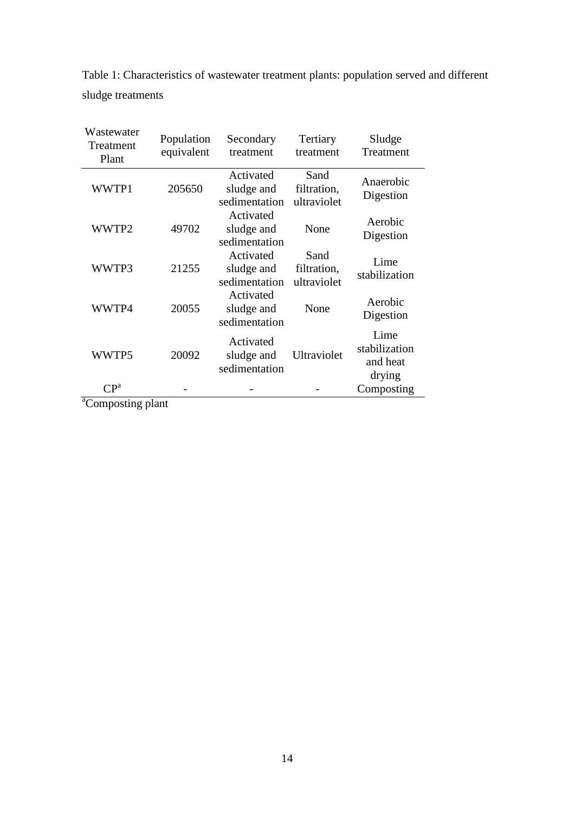| Table 1: Characteristics of wastewater treatment plants: population served and different |  |  |
|------------------------------------------------------------------------------------------|--|--|
| sludge treatments                                                                        |  |  |

| Wastewater<br>Treatment<br>Plant | Population<br>equivalent | Secondary<br>treatment                   | Tertiary<br>treatment              | Sludge<br>Treatment                         |  |  |  |
|----------------------------------|--------------------------|------------------------------------------|------------------------------------|---------------------------------------------|--|--|--|
| WWTP1                            | 205650                   | Activated<br>sludge and<br>sedimentation | Sand<br>filtration,<br>ultraviolet | Anaerobic<br>Digestion                      |  |  |  |
| WWTP2                            | 49702                    | Activated<br>sludge and<br>sedimentation | None                               | Aerobic<br>Digestion                        |  |  |  |
| WWTP3                            | 21255                    | Activated<br>sludge and<br>sedimentation | Sand<br>filtration,<br>ultraviolet | Lime<br>stabilization                       |  |  |  |
| WWTP4                            | 20055                    | Activated<br>sludge and<br>sedimentation | None                               | Aerobic<br>Digestion                        |  |  |  |
| WWTP5                            | 20092                    | Activated<br>sludge and<br>sedimentation | Ultraviolet                        | Lime<br>stabilization<br>and heat<br>drying |  |  |  |
| CP <sup>a</sup>                  |                          |                                          |                                    | Composting                                  |  |  |  |

<sup>a</sup>Composting plant